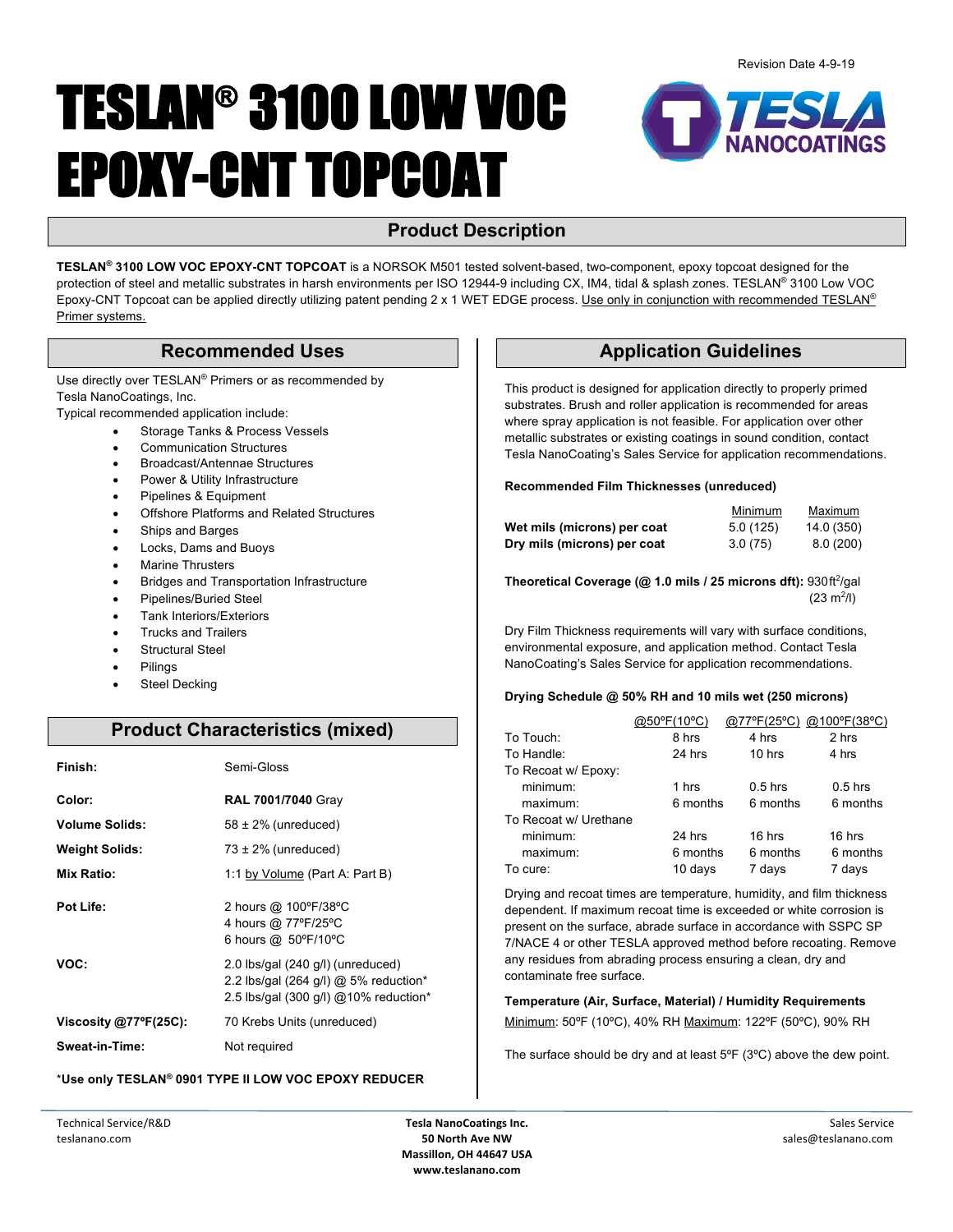# TESLAN® 3100 LOW VOC EPOXY-CNT TOPCOAT



# **Product Description**

**TESLAN® 3100 LOW VOC EPOXY-CNT TOPCOAT** is a NORSOK M501 tested solvent-based, two-component, epoxy topcoat designed for the protection of steel and metallic substrates in harsh environments per ISO 12944-9 including CX, IM4, tidal & splash zones. TESLAN® 3100 Low VOC Epoxy-CNT Topcoat can be applied directly utilizing patent pending 2 x 1 WET EDGE process. Use only in conjunction with recommended TESLAN® Primer systems.

Use directly over TESLAN® Primers or as recommended by Tesla NanoCoatings, Inc.

Typical recommended application include:

- Storage Tanks & Process Vessels
- Communication Structures
- Broadcast/Antennae Structures
- Power & Utility Infrastructure
- Pipelines & Equipment
- Offshore Platforms and Related Structures
- Ships and Barges
- Locks, Dams and Buoys
- Marine Thrusters
- Bridges and Transportation Infrastructure
- Pipelines/Buried Steel
- Tank Interiors/Exteriors
- Trucks and Trailers
- Structural Steel
- **Pilings**
- Steel Decking

# **Product Characteristics (mixed)**

| Finish:                         | Semi-Gloss                                                                                                            |
|---------------------------------|-----------------------------------------------------------------------------------------------------------------------|
| Color:                          | <b>RAL 7001/7040 Gray</b>                                                                                             |
| <b>Volume Solids:</b>           | $58 \pm 2\%$ (unreduced)                                                                                              |
| <b>Weight Solids:</b>           | $73 \pm 2\%$ (unreduced)                                                                                              |
| <b>Mix Ratio:</b>               | 1:1 by Volume (Part A: Part B)                                                                                        |
| Pot Life:                       | 2 hours @ 100°F/38°C<br>4 hours @ 77°F/25°C<br>6 hours @ 50°F/10°C                                                    |
| VOC:                            | 2.0 lbs/gal (240 g/l) (unreduced)<br>2.2 lbs/gal (264 g/l) $@$ 5% reduction*<br>2.5 lbs/gal (300 g/l) @10% reduction* |
| Viscosity $@77^{\circ}F(25C)$ : | 70 Krebs Units (unreduced)                                                                                            |
| Sweat-in-Time:                  | Not required                                                                                                          |

### \***Use only TESLAN® 0901 TYPE II LOW VOC EPOXY REDUCER**

# **Recommended Uses The Comment of Line Application Guidelines**

This product is designed for application directly to properly primed substrates. Brush and roller application is recommended for areas where spray application is not feasible. For application over other metallic substrates or existing coatings in sound condition, contact Tesla NanoCoating's Sales Service for application recommendations.

#### **Recommended Film Thicknesses (unreduced)**

|                             | <b>Minimum</b> | Maximum    |
|-----------------------------|----------------|------------|
| Wet mils (microns) per coat | 5.0(125)       | 14.0 (350) |
| Dry mils (microns) per coat | 3.0(75)        | 8.0(200)   |

**Theoretical Coverage (@ 1.0 mils / 25 microns dft):** 930ft<sup>2</sup>/gal  $(23 \text{ m}^2/l)$ 

Dry Film Thickness requirements will vary with surface conditions, environmental exposure, and application method. Contact Tesla NanoCoating's Sales Service for application recommendations.

### **Drying Schedule @ 50% RH and 10 mils wet (250 microns)**

|                       | @50°F(10°C) | @77°F(25°C) | @100°F(38°C) |
|-----------------------|-------------|-------------|--------------|
| To Touch:             | 8 hrs       | 4 hrs       | 2 hrs        |
| To Handle:            | 24 hrs      | $10$ hrs    | 4 hrs        |
| To Recoat w/ Epoxy:   |             |             |              |
| minimum:              | 1 hrs       | $0.5$ hrs   | $0.5$ hrs    |
| maximum:              | 6 months    | 6 months    | 6 months     |
| To Recoat w/ Urethane |             |             |              |
| minimum:              | 24 hrs      | $16$ hrs    | 16 hrs       |
| maximum:              | 6 months    | 6 months    | 6 months     |
| To cure:              | 10 days     | 7 days      | 7 days       |

Drying and recoat times are temperature, humidity, and film thickness dependent. If maximum recoat time is exceeded or white corrosion is present on the surface, abrade surface in accordance with SSPC SP 7/NACE 4 or other TESLA approved method before recoating. Remove any residues from abrading process ensuring a clean, dry and contaminate free surface.

**Temperature (Air, Surface, Material) / Humidity Requirements** Minimum: 50ºF (10ºC), 40% RH Maximum: 122ºF (50ºC), 90% RH

The surface should be dry and at least 5ºF (3ºC) above the dew point.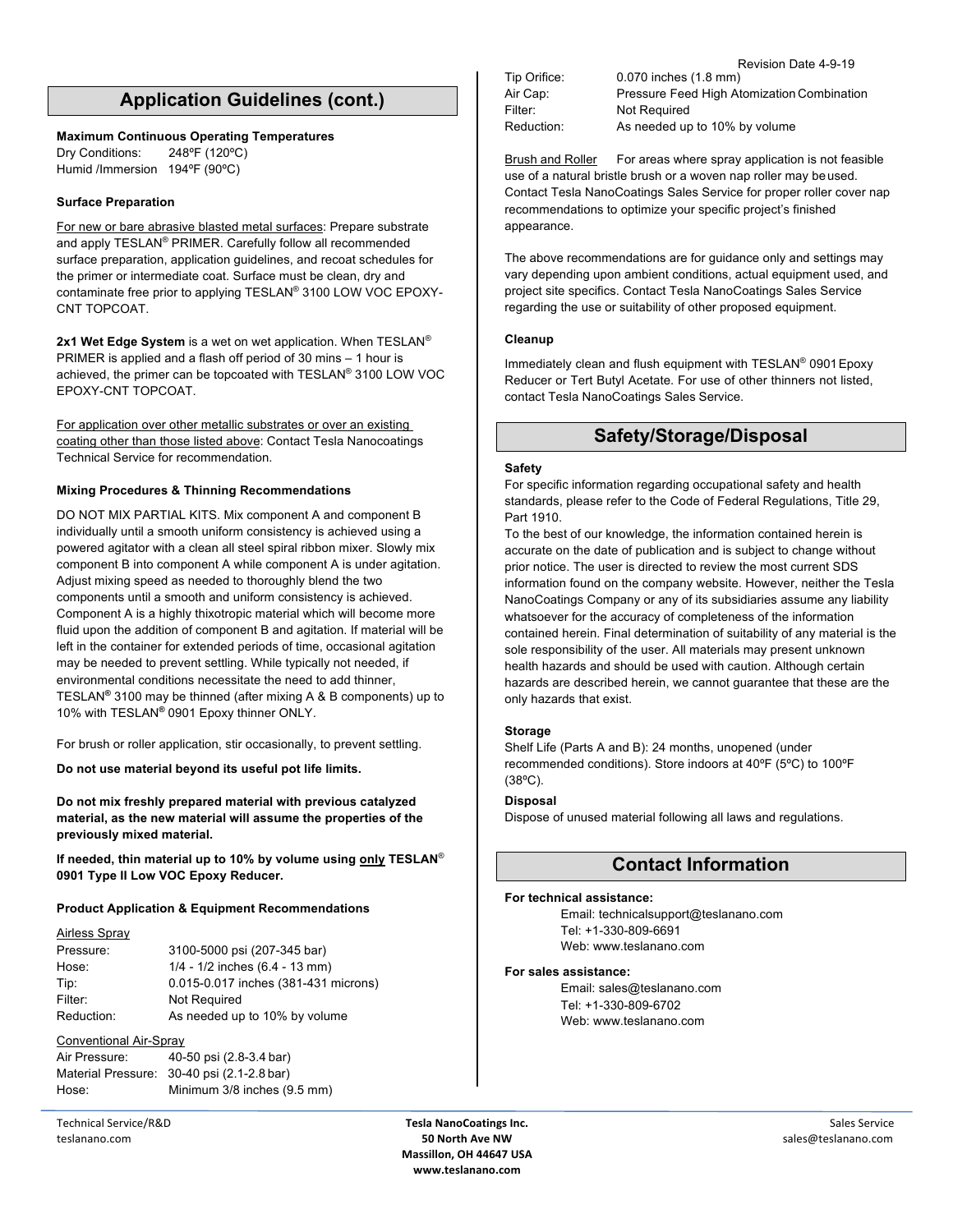# **Application Guidelines (cont.)**

#### **Maximum Continuous Operating Temperatures**

Dry Conditions: 248ºF (120ºC) Humid /Immersion 194ºF (90ºC)

#### **Surface Preparation**

For new or bare abrasive blasted metal surfaces: Prepare substrate and apply TESLAN® PRIMER. Carefully follow all recommended surface preparation, application guidelines, and recoat schedules for the primer or intermediate coat. Surface must be clean, dry and contaminate free prior to applying TESLAN® 3100 LOW VOC EPOXY-CNT TOPCOAT.

**2x1 Wet Edge System** is a wet on wet application. When TESLAN® PRIMER is applied and a flash off period of 30 mins – 1 hour is achieved, the primer can be topcoated with TESLAN® 3100 LOW VOC EPOXY-CNT TOPCOAT.

For application over other metallic substrates or over an existing coating other than those listed above: Contact Tesla Nanocoatings Technical Service for recommendation.

#### **Mixing Procedures & Thinning Recommendations**

DO NOT MIX PARTIAL KITS. Mix component A and component B individually until a smooth uniform consistency is achieved using a powered agitator with a clean all steel spiral ribbon mixer. Slowly mix component B into component A while component A is under agitation. Adjust mixing speed as needed to thoroughly blend the two components until a smooth and uniform consistency is achieved. Component A is a highly thixotropic material which will become more fluid upon the addition of component B and agitation. If material will be left in the container for extended periods of time, occasional agitation may be needed to prevent settling. While typically not needed, if environmental conditions necessitate the need to add thinner, TESLAN**®** 3100 may be thinned (after mixing A & B components) up to 10% with TESLAN**®** 0901 Epoxy thinner ONLY.

For brush or roller application, stir occasionally, to prevent settling.

**Do not use material beyond its useful pot life limits.**

**Do not mix freshly prepared material with previous catalyzed material, as the new material will assume the properties of the previously mixed material.**

**If needed, thin material up to 10% by volume using only TESLAN**® **0901 Type II Low VOC Epoxy Reducer.**

#### **Product Application & Equipment Recommendations**

| <b>Airless Spray</b> |                                      |
|----------------------|--------------------------------------|
| Pressure:            | 3100-5000 psi (207-345 bar)          |
| Hose:                | $1/4 - 1/2$ inches $(6.4 - 13$ mm)   |
| Tip:                 | 0.015-0.017 inches (381-431 microns) |
| Filter:              | <b>Not Required</b>                  |
| Reduction:           | As needed up to 10% by volume        |

#### Conventional Air-Spray

| Air Pressure: | 40-50 psi (2.8-3.4 bar)                    |
|---------------|--------------------------------------------|
|               | Material Pressure: 30-40 psi (2.1-2.8 bar) |
| Hose:         | Minimum 3/8 inches (9.5 mm)                |

Technical Service/R&D teslanano.com

Filter: Not Required

Revision Date 4-9-19 Tip Orifice: 0.070 inches (1.8 mm) Air Cap: Pressure Feed High Atomization Combination Reduction: As needed up to 10% by volume

Brush and Roller For areas where spray application is not feasible use of a natural bristle brush or a woven nap roller may beused. Contact Tesla NanoCoatings Sales Service for proper roller cover nap recommendations to optimize your specific project's finished appearance.

The above recommendations are for guidance only and settings may vary depending upon ambient conditions, actual equipment used, and project site specifics. Contact Tesla NanoCoatings Sales Service regarding the use or suitability of other proposed equipment.

#### **Cleanup**

Immediately clean and flush equipment with TESLAN® 0901Epoxy Reducer or Tert Butyl Acetate. For use of other thinners not listed, contact Tesla NanoCoatings Sales Service.

## **Safety/Storage/Disposal**

#### **Safety**

For specific information regarding occupational safety and health standards, please refer to the Code of Federal Regulations, Title 29, Part 1910.

To the best of our knowledge, the information contained herein is accurate on the date of publication and is subject to change without prior notice. The user is directed to review the most current SDS information found on the company website. However, neither the Tesla NanoCoatings Company or any of its subsidiaries assume any liability whatsoever for the accuracy of completeness of the information contained herein. Final determination of suitability of any material is the sole responsibility of the user. All materials may present unknown health hazards and should be used with caution. Although certain hazards are described herein, we cannot guarantee that these are the only hazards that exist.

#### **Storage**

Shelf Life (Parts A and B): 24 months, unopened (under recommended conditions). Store indoors at 40ºF (5ºC) to 100ºF (38ºC).

### **Disposal**

Dispose of unused material following all laws and regulations.

# **Contact Information**

#### **For technical assistance:**

Email: technicalsupport@teslanano.com Tel: +1-330-809-6691 Web: www.teslanano.com

#### **For sales assistance:**

Email: sales@teslanano.com Tel: +1-330-809-6702 Web: www.teslanano.com